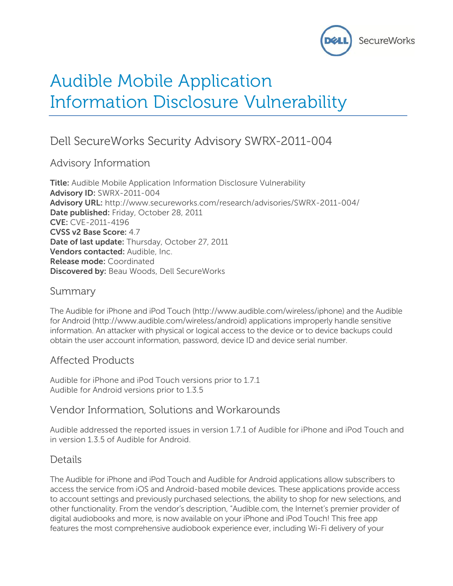

# Audible Mobile Application Information Disclosure Vulnerability

# Dell SecureWorks Security Advisory SWRX-2011-004

# Advisory Information

**Title:** Audible Mobile Application Information Disclosure Vulnerability **Advisory ID:** SWRX-2011-004 **Advisory URL:** http://www.secureworks.com/research/advisories/SWRX-2011-004/ **Date published:** Friday, October 28, 2011 **CVE:** CVE-2011-4196 **CVSS v2 Base Score:** 4.7 **Date of last update:** Thursday, October 27, 2011 **Vendors contacted:** Audible, Inc. **Release mode:** Coordinated **Discovered by:** Beau Woods, Dell SecureWorks

#### Summary

The Audible for iPhone and iPod Touch (http://www.audible.com/wireless/iphone) and the Audible for Android (http://www.audible.com/wireless/android) applications improperly handle sensitive information. An attacker with physical or logical access to the device or to device backups could obtain the user account information, password, device ID and device serial number.

# Affected Products

Audible for iPhone and iPod Touch versions prior to 1.7.1 Audible for Android versions prior to 1.3.5

# Vendor Information, Solutions and Workarounds

Audible addressed the reported issues in version 1.7.1 of Audible for iPhone and iPod Touch and in version 1.3.5 of Audible for Android.

# Details

The Audible for iPhone and iPod Touch and Audible for Android applications allow subscribers to access the service from iOS and Android-based mobile devices. These applications provide access to account settings and previously purchased selections, the ability to shop for new selections, and other functionality. From the vendor's description, "Audible.com, the Internet's premier provider of digital audiobooks and more, is now available on your iPhone and iPod Touch! This free app features the most comprehensive audiobook experience ever, including Wi-Fi delivery of your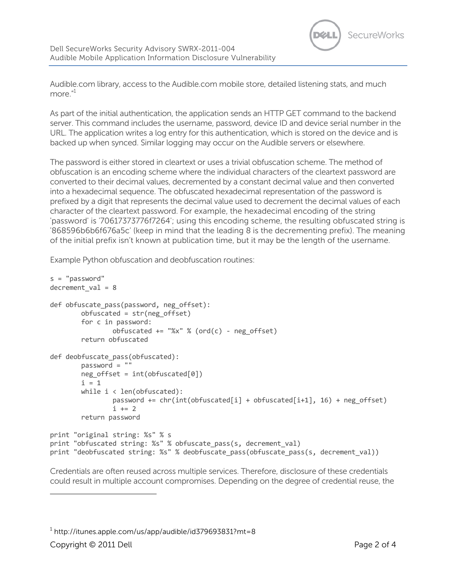

Audible.com library, access to the Audible.com mobile store, detailed listening stats, and much more." 1

As part of the initial authentication, the application sends an HTTP GET command to the backend server. This command includes the username, password, device ID and device serial number in the URL. The application writes a log entry for this authentication, which is stored on the device and is backed up when synced. Similar logging may occur on the Audible servers or elsewhere.

The password is either stored in cleartext or uses a trivial obfuscation scheme. The method of obfuscation is an encoding scheme where the individual characters of the cleartext password are converted to their decimal values, decremented by a constant decimal value and then converted into a hexadecimal sequence. The obfuscated hexadecimal representation of the password is prefixed by a digit that represents the decimal value used to decrement the decimal values of each character of the cleartext password. For example, the hexadecimal encoding of the string 'password' is '70617373776f7264'; using this encoding scheme, the resulting obfuscated string is '868596b6b6f676a5c' (keep in mind that the leading 8 is the decrementing prefix). The meaning of the initial prefix isn't known at publication time, but it may be the length of the username.

Example Python obfuscation and deobfuscation routines:

```
s = "password"
decrement val = 8def obfuscate_pass(password, neg_offset):
         obfuscated = str(neg_offset)
         for c in password:
                obfuscated += "%x" % (ord(c) - neg offset)
         return obfuscated
def deobfuscate pass(obfuscated):
         password = ""
        neg offset = int(obfuscated[0])
        i = 1while i \leftarrow \text{len}(\text{obfuscated}):
                password += chr(int(obfuscated[i] + obfuscated[i+1], 16) + neg offset)
                i + = 2 return password
print "original string: %s" % s
print "obfuscated string: %s" % obfuscate_pass(s, decrement_val)
print "deobfuscated string: %s" % deobfuscate_pass(obfuscate_pass(s, decrement_val))
```
Credentials are often reused across multiple services. Therefore, disclosure of these credentials could result in multiple account compromises. Depending on the degree of credential reuse, the

 $^{\rm 1}$  http://itunes.apple.com/us/app/audible/id379693831?mt=8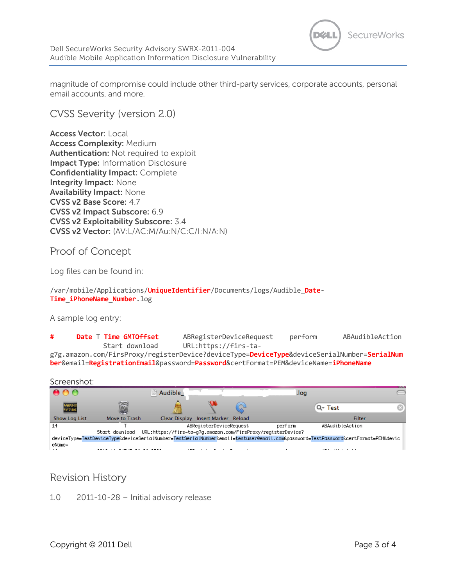

magnitude of compromise could include other third-party services, corporate accounts, personal email accounts, and more.

CVSS Severity (version 2.0)

**Access Vector:** Local **Access Complexity:** Medium **Authentication:** Not required to exploit **Impact Type:** Information Disclosure **Confidentiality Impact:** Complete **Integrity Impact:** None **Availability Impact:** None **CVSS v2 Base Score:** 4.7 **CVSS v2 Impact Subscore:** 6.9 **CVSS v2 Exploitability Subscore:** 3.4 **CVSS v2 Vector:** (AV:L/AC:M/Au:N/C:C/I:N/A:N)

#### Proof of Concept

Log files can be found in:

/var/mobile/Applications/**UniqueIdentifier**/Documents/logs/Audible\_**Date**-**Time**\_**iPhoneName**\_**Number**.log

A sample log entry:

**# Date** T **Time GMTOffset** ABRegisterDeviceRequest perform ABAudibleAction Start download URL:https://firs-tag7g.amazon.com/FirsProxy/registerDevice?deviceType=**DeviceType**&deviceSerialNumber=**SerialNum**

**ber**&email=**RegistrationEmail**&password=**Password**&certFormat=PEM&deviceName=**iPhoneName**

Screenshot:

|                                                                                                                                   |               | $\equiv$ Audible |                         |  | pol.    |                 | . |
|-----------------------------------------------------------------------------------------------------------------------------------|---------------|------------------|-------------------------|--|---------|-----------------|---|
| WARNIE<br>39 7:36                                                                                                                 |               |                  |                         |  |         | Q-Test          |   |
| <b>Show Log List</b>                                                                                                              | Move to Trash | Clear Display    | Insert Marker Reload    |  |         | <b>Filter</b>   |   |
| 14                                                                                                                                |               |                  | ABRegisterDeviceRequest |  | perform | ABAudibleAction |   |
| URL:https://firs-ta-g7g.amazon.com/FirsProxy/reaisterDevice?<br>Start download                                                    |               |                  |                         |  |         |                 |   |
| deviceType=TestDeviceType&deviceSerialNumber=TestSerialNumber&email=testuser@email.com&password=TestPassword&certFormat=PEM&devic |               |                  |                         |  |         |                 |   |
| eName=                                                                                                                            |               |                  |                         |  |         |                 |   |
|                                                                                                                                   |               |                  |                         |  |         |                 |   |

# Revision History

1.0 2011-10-28 – Initial advisory release